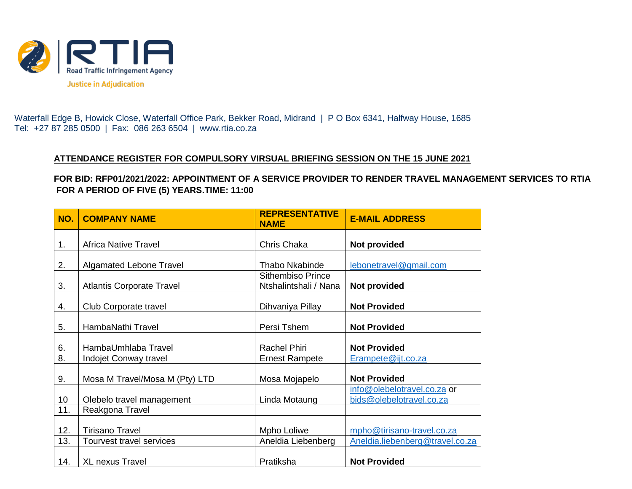

Waterfall Edge B, Howick Close, Waterfall Office Park, Bekker Road, Midrand | P O Box 6341, Halfway House, 1685 Tel: +27 87 285 0500 | Fax: 086 263 6504 | www.rtia.co.za

## **ATTENDANCE REGISTER FOR COMPULSORY VIRSUAL BRIEFING SESSION ON THE 15 JUNE 2021**

**FOR BID: RFP01/2021/2022: APPOINTMENT OF A SERVICE PROVIDER TO RENDER TRAVEL MANAGEMENT SERVICES TO RTIA FOR A PERIOD OF FIVE (5) YEARS.TIME: 11:00**

| NO.             | <b>COMPANY NAME</b>              | <b>REPRESENTATIVE</b><br><b>NAME</b>              | <b>E-MAIL ADDRESS</b>                                   |
|-----------------|----------------------------------|---------------------------------------------------|---------------------------------------------------------|
| 1.              | <b>Africa Native Travel</b>      | Chris Chaka                                       | Not provided                                            |
| 2.              | <b>Algamated Lebone Travel</b>   | <b>Thabo Nkabinde</b>                             | lebonetravel@gmail.com                                  |
| 3.              | <b>Atlantis Corporate Travel</b> | <b>Sithembiso Prince</b><br>Ntshalintshali / Nana | Not provided                                            |
| 4.              | Club Corporate travel            | Dihvaniya Pillay                                  | <b>Not Provided</b>                                     |
| 5.              | HambaNathi Travel                | Persi Tshem                                       | <b>Not Provided</b>                                     |
| 6.              | HambaUmhlaba Travel              | <b>Rachel Phiri</b>                               | <b>Not Provided</b>                                     |
| 8.              | <b>Indojet Conway travel</b>     | <b>Ernest Rampete</b>                             | Erampete@ijt.co.za                                      |
| 9.              | Mosa M Travel/Mosa M (Pty) LTD   | Mosa Mojapelo                                     | <b>Not Provided</b>                                     |
| 10 <sup>°</sup> | Olebelo travel management        | Linda Motaung                                     | info@olebelotravel.co.za or<br>bids@olebelotravel.co.za |
| 11.             | Reakgona Travel                  |                                                   |                                                         |
| 12.             | <b>Tirisano Travel</b>           | Mpho Loliwe                                       | mpho@tirisano-travel.co.za                              |
| 13.             | Tourvest travel services         | Aneldia Liebenberg                                | Aneldia.liebenberg@travel.co.za                         |
| 14.             | <b>XL nexus Travel</b>           | Pratiksha                                         | <b>Not Provided</b>                                     |